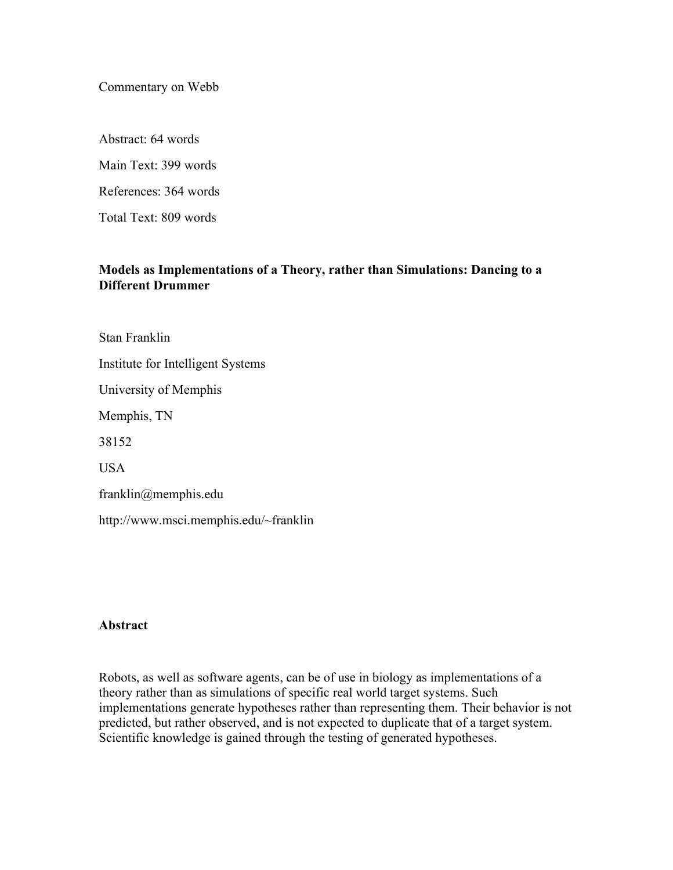Commentary on Webb

Abstract: 64 words Main Text: 399 words References: 364 words Total Text: 809 words

## **Models as Implementations of a Theory, rather than Simulations: Dancing to a Different Drummer**

Stan Franklin Institute for Intelligent Systems University of Memphis Memphis, TN 38152 **USA** franklin@memphis.edu http://www.msci.memphis.edu/~franklin

## **Abstract**

Robots, as well as software agents, can be of use in biology as implementations of a theory rather than as simulations of specific real world target systems. Such implementations generate hypotheses rather than representing them. Their behavior is not predicted, but rather observed, and is not expected to duplicate that of a target system. Scientific knowledge is gained through the testing of generated hypotheses.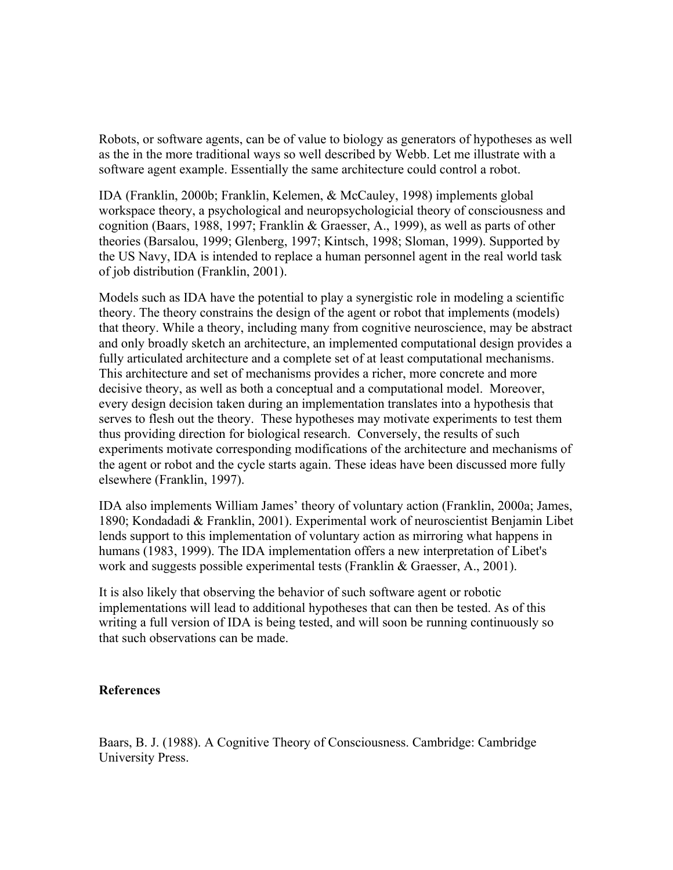Robots, or software agents, can be of value to biology as generators of hypotheses as well as the in the more traditional ways so well described by Webb. Let me illustrate with a software agent example. Essentially the same architecture could control a robot.

IDA (Franklin, 2000b; Franklin, Kelemen, & McCauley, 1998) implements global workspace theory, a psychological and neuropsychologicial theory of consciousness and cognition (Baars, 1988, 1997; Franklin & Graesser, A., 1999), as well as parts of other theories (Barsalou, 1999; Glenberg, 1997; Kintsch, 1998; Sloman, 1999). Supported by the US Navy, IDA is intended to replace a human personnel agent in the real world task of job distribution (Franklin, 2001).

Models such as IDA have the potential to play a synergistic role in modeling a scientific theory. The theory constrains the design of the agent or robot that implements (models) that theory. While a theory, including many from cognitive neuroscience, may be abstract and only broadly sketch an architecture, an implemented computational design provides a fully articulated architecture and a complete set of at least computational mechanisms. This architecture and set of mechanisms provides a richer, more concrete and more decisive theory, as well as both a conceptual and a computational model. Moreover, every design decision taken during an implementation translates into a hypothesis that serves to flesh out the theory. These hypotheses may motivate experiments to test them thus providing direction for biological research. Conversely, the results of such experiments motivate corresponding modifications of the architecture and mechanisms of the agent or robot and the cycle starts again. These ideas have been discussed more fully elsewhere (Franklin, 1997).

IDA also implements William James' theory of voluntary action (Franklin, 2000a; James, 1890; Kondadadi & Franklin, 2001). Experimental work of neuroscientist Benjamin Libet lends support to this implementation of voluntary action as mirroring what happens in humans (1983, 1999). The IDA implementation offers a new interpretation of Libet's work and suggests possible experimental tests (Franklin & Graesser, A., 2001).

It is also likely that observing the behavior of such software agent or robotic implementations will lead to additional hypotheses that can then be tested. As of this writing a full version of IDA is being tested, and will soon be running continuously so that such observations can be made.

## **References**

Baars, B. J. (1988). A Cognitive Theory of Consciousness. Cambridge: Cambridge University Press.